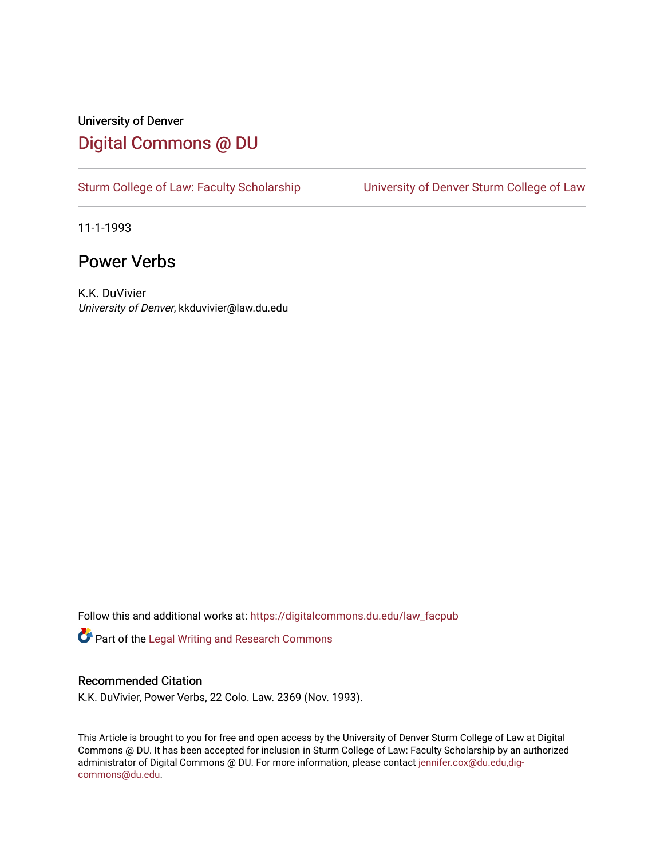## University of Denver [Digital Commons @ DU](https://digitalcommons.du.edu/)

[Sturm College of Law: Faculty Scholarship](https://digitalcommons.du.edu/law_facpub) [University of Denver Sturm College of Law](https://digitalcommons.du.edu/denver_law) 

11-1-1993

## Power Verbs

K.K. DuVivier University of Denver, kkduvivier@law.du.edu

Follow this and additional works at: [https://digitalcommons.du.edu/law\\_facpub](https://digitalcommons.du.edu/law_facpub?utm_source=digitalcommons.du.edu%2Flaw_facpub%2F348&utm_medium=PDF&utm_campaign=PDFCoverPages) 

Part of the [Legal Writing and Research Commons](http://network.bepress.com/hgg/discipline/614?utm_source=digitalcommons.du.edu%2Flaw_facpub%2F348&utm_medium=PDF&utm_campaign=PDFCoverPages) 

### Recommended Citation

K.K. DuVivier, Power Verbs, 22 Colo. Law. 2369 (Nov. 1993).

This Article is brought to you for free and open access by the University of Denver Sturm College of Law at Digital Commons @ DU. It has been accepted for inclusion in Sturm College of Law: Faculty Scholarship by an authorized administrator of Digital Commons @ DU. For more information, please contact [jennifer.cox@du.edu,dig](mailto:jennifer.cox@du.edu,dig-commons@du.edu)[commons@du.edu.](mailto:jennifer.cox@du.edu,dig-commons@du.edu)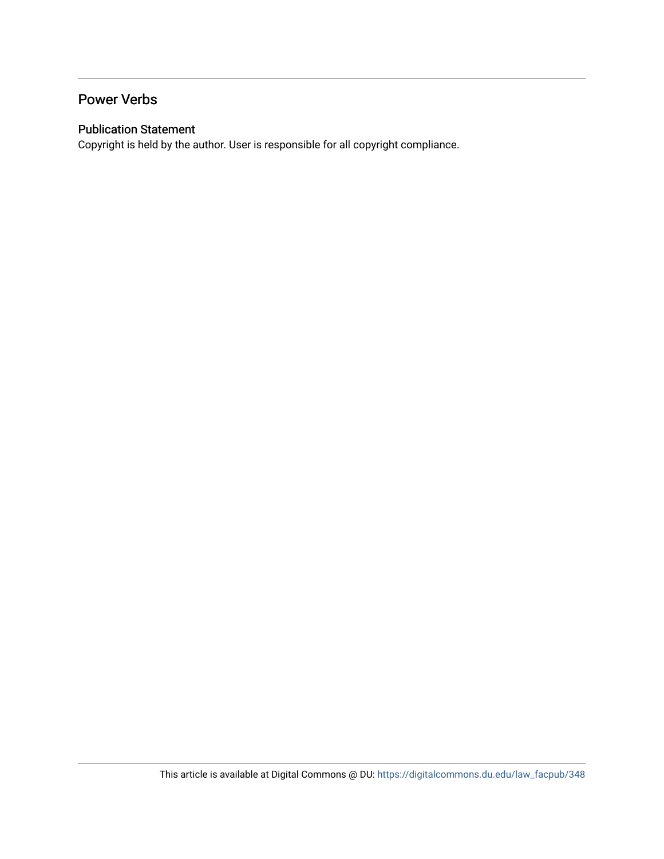## Power Verbs

### Publication Statement

Copyright is held by the author. User is responsible for all copyright compliance.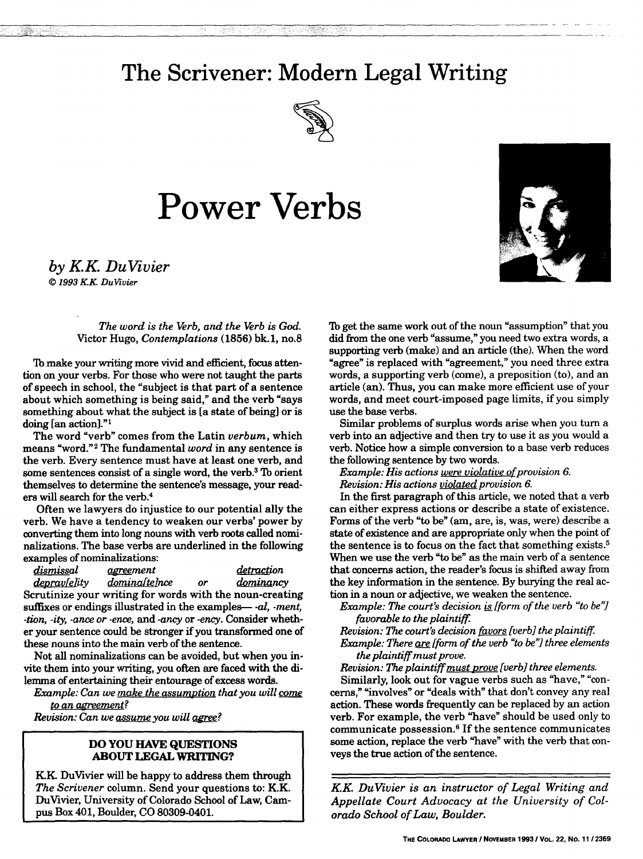## **The Scrivener: Modern Legal Writing**



# **Power Verbs**



*by KK DuVivier*

*© 1993 KK DuVivier*

#### *The word is the Verb, and the Verb is God.* Victor Hugo, *Contemplations* **(1856) bk. 1,** no.8

**lb** make your writing more vivid and efficient, focus attention on your verbs. For those who were not taught the parts of speech in school, the "subject is that part of a sentence about which something is being said," and the verb "says something about what the subject is [a state of being] or is doing [an action]."'

The word "verb" comes from the Latin *verbum,* which means "word."2 The fundamental *word* in any sentence is the verb. Every sentence must have at least one verb, and some sentences consist of a single word, the verb.3 To orient themselves to determine the sentence's message, your readers will search for the verb.<sup>4</sup>

Often we lawyers do injustice to our potential ally the verb. We have a tendency to weaken our verbs' power by converting them into long nouns with verb roots called nominalizations. The base verbs are underlined in the following examples of nominalizations:

dismissal agreement detraction *depravelity dominaftelnce* or *dominancy* Scrutinize your writing for words with the noun-creating suffixes or endings illustrated in the examples- *-al, -ment, -tion, -ity, -ance or -ence,* and *-ancy* or *-ency.* Consider whether your sentence could be stronger if you transformed one of these nouns into the main verb of the sentence.

Not all nominalizations can be avoided, but when you invite them into your writing, you often are faced with the dilemma of entertaining their entourage of excess words.

*Example: Can we make the assumption that you will come to an agreement?*

*Revision: Can we assume you will agree?* 

### **DO YOU HAVE QUESTIONS ABOUT LEGAL WRITING?**

KK DuVivier will be happy to address them through *The Scrivener* column. Send your questions to: K.K. DuVivier, University of Colorado School of Law, Campus Box 401, Boulder, CO 80309-0401.

**Tb** get the same work out of the noun "assumption" that you did from the one verb "assume," you need two extra words, a supporting verb (make) and an article (the). When the word "agree" is replaced with "agreement," you need three extra words, a supporting verb (come), a preposition (to), and an article (an). Thus, you can make more efficient use of your words, and meet court-imposed page limits, if you simply use the base verbs.

Similar problems of surplus words arise when you turn a verb into an adjective and then try to use it as you would a verb. Notice how a simple conversion to a base verb reduces the following sentence **by** two words.

*Example: His actions were violative of provision 6. Revision: His actions violated provision 6.*

In the first paragraph of this article, we noted that a verb can either express actions or describe a state of existence. Forms of the verb "to be" (am, are, is, was, were) describe a state of existence and are appropriate only when the point of the sentence is to focus on the fact that something exists.<sup>5</sup> When we use the verb "to be" as the main verb of a sentence that concerns action, the reader's focus is shifted away from the key information in the sentence. **By** burying the real action in a noun or adjective, we weaken the sentence.

*Example: The court's decision* is *[form of the verb "to be"] favorable to the plaintiff.*

*Revision: The court's decision favors [verb] the plaintiff.*

*Example: There are [form of the verb "to be"] three elements the plaintiff must prove.*

*Revision: The plaintiff must prove [verb] three elements.*

Similarly, look out for vague verbs such as "have," "concerns," "involves" or "deals with" that don't convey any real action. These words frequently can be replaced by an action verb. For example, the verb "have" should be used only to communicate possession.6 If the sentence communicates some action, replace the verb "have" with the verb that conveys the true action of the sentence.

*KK DuVivier is an instructor of Legal Writing and Appellate Court Advocacy at the University of Colorado School of Law, Boulder.*